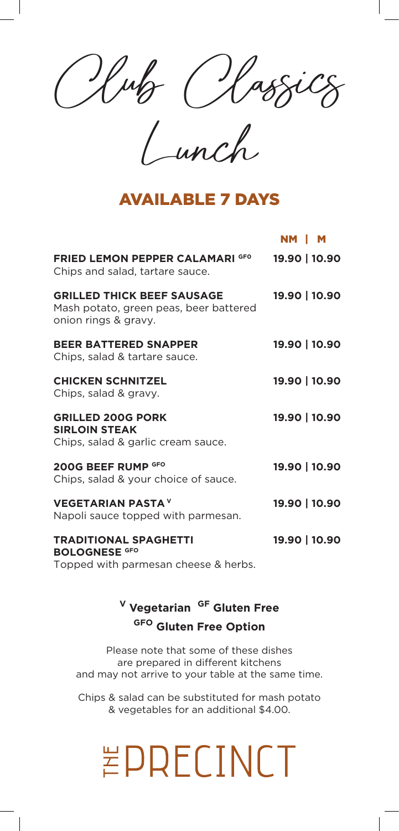Club Classics

Lunch

#### AVAILABLE 7 DAYS

|                                                                                                     | NM   M        |
|-----------------------------------------------------------------------------------------------------|---------------|
| <b>FRIED LEMON PEPPER CALAMARI GFO</b><br>Chips and salad, tartare sauce.                           | 19.90   10.90 |
| <b>GRILLED THICK BEEF SAUSAGE</b><br>Mash potato, green peas, beer battered<br>onion rings & gravy. | 19.90   10.90 |
| <b>BEER BATTERED SNAPPER</b><br>Chips, salad & tartare sauce.                                       | 19.90   10.90 |
| <b>CHICKEN SCHNITZEL</b><br>Chips, salad & gravy.                                                   | 19.90   10.90 |
| <b>GRILLED 200G PORK</b><br><b>SIRLOIN STEAK</b><br>Chips, salad & garlic cream sauce.              | 19.90   10.90 |
| 200G BEEF RUMP GFO<br>Chips, salad & your choice of sauce.                                          | 19.90   10.90 |
| <b>VEGETARIAN PASTA V</b><br>Napoli sauce topped with parmesan.                                     | 19.90   10.90 |
| <b>TRADITIONAL SPAGHETTI</b><br><b>BOLOGNESE GFO</b><br>Topped with parmesan cheese & herbs.        | 19.90   10.90 |

### **<sup>V</sup> Vegetarian GF Gluten Free GFO Gluten Free Option**

Please note that some of these dishes are prepared in different kitchens and may not arrive to your table at the same time.

Chips & salad can be substituted for mash potato & vegetables for an additional \$4.00.

## EPRECINCT